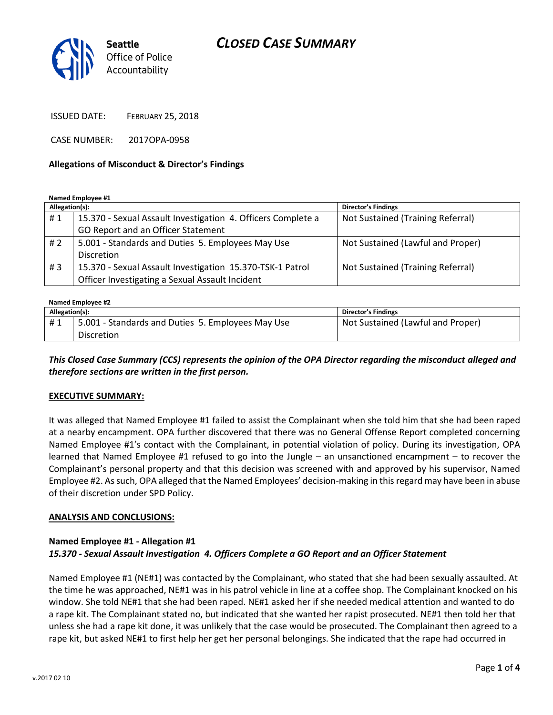# *CLOSED CASE SUMMARY*



ISSUED DATE: FEBRUARY 25, 2018

CASE NUMBER: 2017OPA-0958

#### **Allegations of Misconduct & Director's Findings**

**Named Employee #1**

| Allegation(s): |                                                              | Director's Findings               |
|----------------|--------------------------------------------------------------|-----------------------------------|
| #1             | 15.370 - Sexual Assault Investigation 4. Officers Complete a | Not Sustained (Training Referral) |
|                | GO Report and an Officer Statement                           |                                   |
| # 2            | 5.001 - Standards and Duties 5. Employees May Use            | Not Sustained (Lawful and Proper) |
|                | <b>Discretion</b>                                            |                                   |
| #3             | 15.370 - Sexual Assault Investigation 15.370-TSK-1 Patrol    | Not Sustained (Training Referral) |
|                | Officer Investigating a Sexual Assault Incident              |                                   |

#### **Named Employee #2**

| Allegation(s): |                                                   | Director's Findings               |
|----------------|---------------------------------------------------|-----------------------------------|
| #1             | 5.001 - Standards and Duties 5. Employees May Use | Not Sustained (Lawful and Proper) |
|                | <b>Discretion</b>                                 |                                   |

*This Closed Case Summary (CCS) represents the opinion of the OPA Director regarding the misconduct alleged and therefore sections are written in the first person.* 

#### **EXECUTIVE SUMMARY:**

It was alleged that Named Employee #1 failed to assist the Complainant when she told him that she had been raped at a nearby encampment. OPA further discovered that there was no General Offense Report completed concerning Named Employee #1's contact with the Complainant, in potential violation of policy. During its investigation, OPA learned that Named Employee #1 refused to go into the Jungle – an unsanctioned encampment – to recover the Complainant's personal property and that this decision was screened with and approved by his supervisor, Named Employee #2. As such, OPA alleged that the Named Employees' decision-making in this regard may have been in abuse of their discretion under SPD Policy.

#### **ANALYSIS AND CONCLUSIONS:**

### **Named Employee #1 - Allegation #1** *15.370 - Sexual Assault Investigation 4. Officers Complete a GO Report and an Officer Statement*

Named Employee #1 (NE#1) was contacted by the Complainant, who stated that she had been sexually assaulted. At the time he was approached, NE#1 was in his patrol vehicle in line at a coffee shop. The Complainant knocked on his window. She told NE#1 that she had been raped. NE#1 asked her if she needed medical attention and wanted to do a rape kit. The Complainant stated no, but indicated that she wanted her rapist prosecuted. NE#1 then told her that unless she had a rape kit done, it was unlikely that the case would be prosecuted. The Complainant then agreed to a rape kit, but asked NE#1 to first help her get her personal belongings. She indicated that the rape had occurred in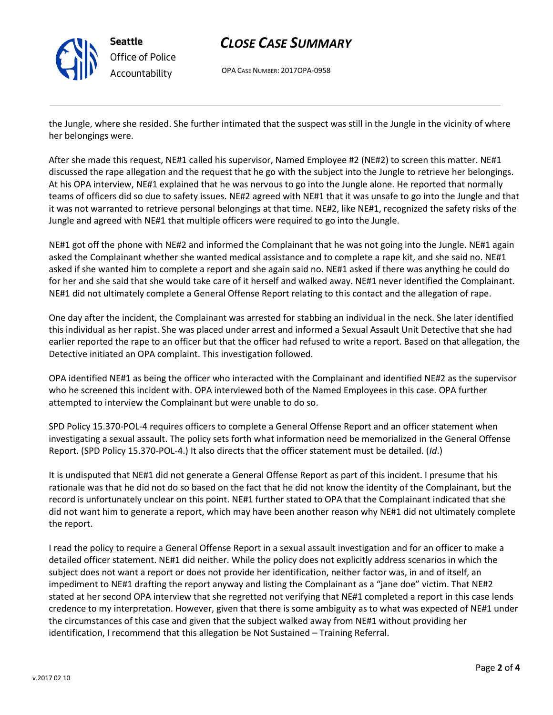

# *CLOSE CASE SUMMARY*

OPA CASE NUMBER: 2017OPA-0958

the Jungle, where she resided. She further intimated that the suspect was still in the Jungle in the vicinity of where her belongings were.

After she made this request, NE#1 called his supervisor, Named Employee #2 (NE#2) to screen this matter. NE#1 discussed the rape allegation and the request that he go with the subject into the Jungle to retrieve her belongings. At his OPA interview, NE#1 explained that he was nervous to go into the Jungle alone. He reported that normally teams of officers did so due to safety issues. NE#2 agreed with NE#1 that it was unsafe to go into the Jungle and that it was not warranted to retrieve personal belongings at that time. NE#2, like NE#1, recognized the safety risks of the Jungle and agreed with NE#1 that multiple officers were required to go into the Jungle.

NE#1 got off the phone with NE#2 and informed the Complainant that he was not going into the Jungle. NE#1 again asked the Complainant whether she wanted medical assistance and to complete a rape kit, and she said no. NE#1 asked if she wanted him to complete a report and she again said no. NE#1 asked if there was anything he could do for her and she said that she would take care of it herself and walked away. NE#1 never identified the Complainant. NE#1 did not ultimately complete a General Offense Report relating to this contact and the allegation of rape.

One day after the incident, the Complainant was arrested for stabbing an individual in the neck. She later identified this individual as her rapist. She was placed under arrest and informed a Sexual Assault Unit Detective that she had earlier reported the rape to an officer but that the officer had refused to write a report. Based on that allegation, the Detective initiated an OPA complaint. This investigation followed.

OPA identified NE#1 as being the officer who interacted with the Complainant and identified NE#2 as the supervisor who he screened this incident with. OPA interviewed both of the Named Employees in this case. OPA further attempted to interview the Complainant but were unable to do so.

SPD Policy 15.370-POL-4 requires officers to complete a General Offense Report and an officer statement when investigating a sexual assault. The policy sets forth what information need be memorialized in the General Offense Report. (SPD Policy 15.370-POL-4.) It also directs that the officer statement must be detailed. (*Id*.)

It is undisputed that NE#1 did not generate a General Offense Report as part of this incident. I presume that his rationale was that he did not do so based on the fact that he did not know the identity of the Complainant, but the record is unfortunately unclear on this point. NE#1 further stated to OPA that the Complainant indicated that she did not want him to generate a report, which may have been another reason why NE#1 did not ultimately complete the report.

I read the policy to require a General Offense Report in a sexual assault investigation and for an officer to make a detailed officer statement. NE#1 did neither. While the policy does not explicitly address scenarios in which the subject does not want a report or does not provide her identification, neither factor was, in and of itself, an impediment to NE#1 drafting the report anyway and listing the Complainant as a "jane doe" victim. That NE#2 stated at her second OPA interview that she regretted not verifying that NE#1 completed a report in this case lends credence to my interpretation. However, given that there is some ambiguity as to what was expected of NE#1 under the circumstances of this case and given that the subject walked away from NE#1 without providing her identification, I recommend that this allegation be Not Sustained – Training Referral.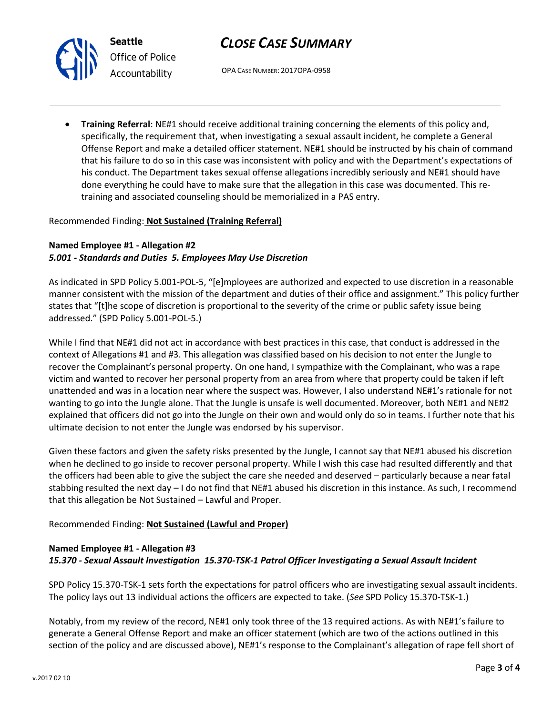

# *CLOSE CASE SUMMARY*

OPA CASE NUMBER: 2017OPA-0958

 **Training Referral**: NE#1 should receive additional training concerning the elements of this policy and, specifically, the requirement that, when investigating a sexual assault incident, he complete a General Offense Report and make a detailed officer statement. NE#1 should be instructed by his chain of command that his failure to do so in this case was inconsistent with policy and with the Department's expectations of his conduct. The Department takes sexual offense allegations incredibly seriously and NE#1 should have done everything he could have to make sure that the allegation in this case was documented. This retraining and associated counseling should be memorialized in a PAS entry.

### Recommended Finding: **Not Sustained (Training Referral)**

## **Named Employee #1 - Allegation #2** *5.001 - Standards and Duties 5. Employees May Use Discretion*

As indicated in SPD Policy 5.001-POL-5, "[e]mployees are authorized and expected to use discretion in a reasonable manner consistent with the mission of the department and duties of their office and assignment." This policy further states that "[t]he scope of discretion is proportional to the severity of the crime or public safety issue being addressed." (SPD Policy 5.001-POL-5.)

While I find that NE#1 did not act in accordance with best practices in this case, that conduct is addressed in the context of Allegations #1 and #3. This allegation was classified based on his decision to not enter the Jungle to recover the Complainant's personal property. On one hand, I sympathize with the Complainant, who was a rape victim and wanted to recover her personal property from an area from where that property could be taken if left unattended and was in a location near where the suspect was. However, I also understand NE#1's rationale for not wanting to go into the Jungle alone. That the Jungle is unsafe is well documented. Moreover, both NE#1 and NE#2 explained that officers did not go into the Jungle on their own and would only do so in teams. I further note that his ultimate decision to not enter the Jungle was endorsed by his supervisor.

Given these factors and given the safety risks presented by the Jungle, I cannot say that NE#1 abused his discretion when he declined to go inside to recover personal property. While I wish this case had resulted differently and that the officers had been able to give the subject the care she needed and deserved – particularly because a near fatal stabbing resulted the next day – I do not find that NE#1 abused his discretion in this instance. As such, I recommend that this allegation be Not Sustained – Lawful and Proper.

## Recommended Finding: **Not Sustained (Lawful and Proper)**

## **Named Employee #1 - Allegation #3** *15.370 - Sexual Assault Investigation 15.370-TSK-1 Patrol Officer Investigating a Sexual Assault Incident*

SPD Policy 15.370-TSK-1 sets forth the expectations for patrol officers who are investigating sexual assault incidents. The policy lays out 13 individual actions the officers are expected to take. (*See* SPD Policy 15.370-TSK-1.)

Notably, from my review of the record, NE#1 only took three of the 13 required actions. As with NE#1's failure to generate a General Offense Report and make an officer statement (which are two of the actions outlined in this section of the policy and are discussed above), NE#1's response to the Complainant's allegation of rape fell short of